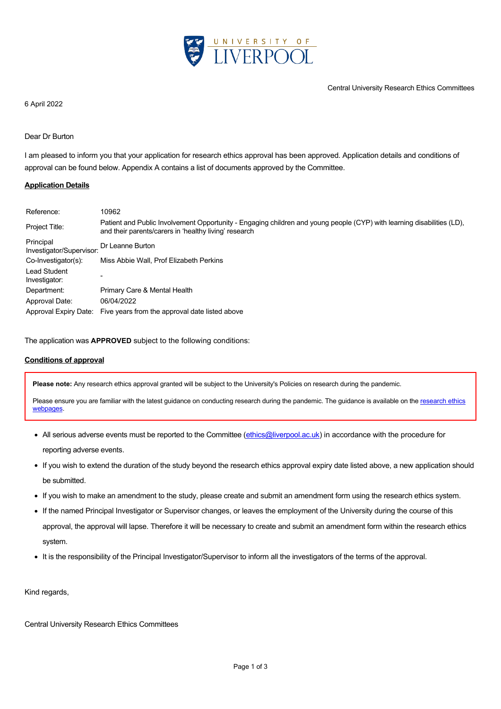

#### 6 April 2022

## Dear Dr Burton

I am pleased to inform you that your application for research ethics approval has been approved. Application details and conditions of approval can be found below. Appendix A contains a list of documents approved by the Committee.

### **Application Details**

| Reference:                            | 10962                                                                                                                                                                           |
|---------------------------------------|---------------------------------------------------------------------------------------------------------------------------------------------------------------------------------|
| Project Title:                        | Patient and Public Involvement Opportunity - Engaging children and young people (CYP) with learning disabilities (LD),<br>and their parents/carers in 'healthy living' research |
| Principal<br>Investigator/Supervisor: | Dr Leanne Burton                                                                                                                                                                |
| Co-Investigator(s):                   | Miss Abbie Wall, Prof Elizabeth Perkins                                                                                                                                         |
| Lead Student<br>Investigator:         |                                                                                                                                                                                 |
| Department:                           | Primary Care & Mental Health                                                                                                                                                    |
| Approval Date:                        | 06/04/2022                                                                                                                                                                      |
| Approval Expiry Date:                 | Five years from the approval date listed above                                                                                                                                  |

The application was **APPROVED** subject to the following conditions:

### **Conditions of approval**

**Please note:** Any research ethics approval granted will be subject to the University's Policies on research during the pandemic.

[Please ensure you are familiar with the latest guidance on conducting research during the pandemic. The guidance is available on the research ethics](https://www.liverpool.ac.uk/intranet/research-support-office/research-ethics/covid-19/) webpages.

- All serious adverse events must be reported to the Committee [\(ethics@liverpool.ac.uk](mailto:ethics@liverpool.ac.uk)) in accordance with the procedure for reporting adverse events.
- If you wish to extend the duration of the study beyond the research ethics approval expiry date listed above, a new application should be submitted.
- If you wish to make an amendment to the study, please create and submit an amendment form using the research ethics system.
- If the named Principal Investigator or Supervisor changes, or leaves the employment of the University during the course of this approval, the approval will lapse. Therefore it will be necessary to create and submit an amendment form within the research ethics system.
- It is the responsibility of the Principal Investigator/Supervisor to inform all the investigators of the terms of the approval.

Kind regards,

Central University Research Ethics Committees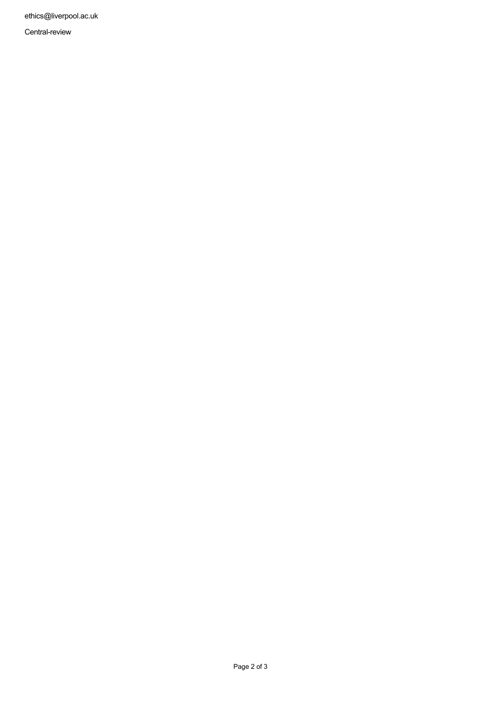ethics@liverpool.ac.uk

Central-review